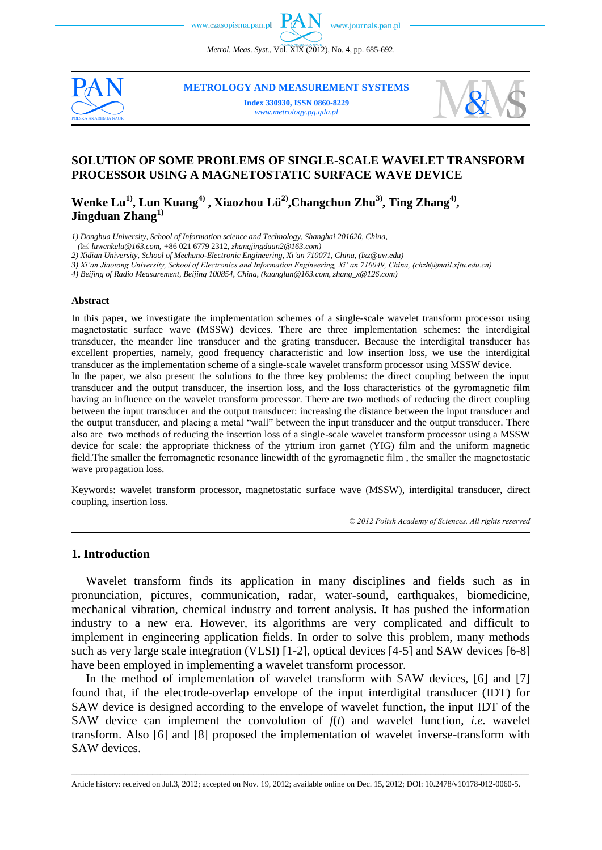*Metrol. Meas. Syst.*, Vol. XIX (2012), No. 4, pp. 685-692.



**METROLOGY AND MEASUREMENT SYSTEMS**

**Index 330930, ISSN 0860-8229** *www.metrology.pg.gda.pl*



## **SOLUTION OF SOME PROBLEMS OF SINGLE-SCALE WAVELET TRANSFORM PROCESSOR USING A MAGNETOSTATIC SURFACE WAVE DEVICE**

**Wenke Lu1), Lun Kuang4) , Xiaozhou Lü2) ,Changchun Zhu3) , Ting Zhang4) , Jingduan Zhang1)**

*1) Donghua University, School of Information science and Technology, Shanghai 201620, China,*

 *( luwenkelu@163.com, +*86 021 6779 2312*, zhangjingduan2@163.com)*

*2) Xidian University, School of Mechano-Electronic Engineering, Xi'an 710071, China, (lxz@uw.edu)*

*3) Xi'an Jiaotong University, School of Electronics and Information Engineering, Xi' an 710049, China, (chzh@mail.xjtu.edu.cn)*

*4) Beijing of Radio Measurement, Beijing 100854, China, (kuanglun@163.com, zhang\_x@126.com)*

#### **Abstract**

In this paper, we investigate the implementation schemes of a single-scale wavelet transform processor using magnetostatic surface wave (MSSW) devices. There are three implementation schemes: the interdigital transducer, the meander line transducer and the grating transducer. Because the interdigital transducer has excellent properties, namely, good frequency characteristic and low insertion loss, we use the interdigital transducer as the implementation scheme of a single-scale wavelet transform processor using MSSW device. In the paper, we also present the solutions to the three key problems: the direct coupling between the input transducer and the output transducer, the insertion loss, and the loss characteristics of the gyromagnetic film having an influence on the wavelet transform processor. There are two methods of reducing the direct coupling between the input transducer and the output transducer: increasing the distance between the input transducer and the output transducer, and placing a metal "wall" between the input transducer and the output transducer. There also are two methods of reducing the insertion loss of a single-scale wavelet transform processor using a MSSW device for scale: the appropriate thickness of the yttrium iron garnet (YIG) film and the uniform magnetic field.The smaller the ferromagnetic resonance linewidth of the gyromagnetic film , the smaller the magnetostatic wave propagation loss.

Keywords: wavelet transform processor, magnetostatic surface wave (MSSW), interdigital transducer, direct coupling, insertion loss.

*© 2012 Polish Academy of Sciences. All rights reserved*

### **1. Introduction**

Wavelet transform finds its application in many disciplines and fields such as in pronunciation, pictures, communication, radar, water-sound, earthquakes, biomedicine, mechanical vibration, chemical industry and torrent analysis. It has pushed the information industry to a new era. However, its algorithms are very complicated and difficult to implement in engineering application fields. In order to solve this problem, many methods such as very large scale integration (VLSI) [1-2], optical devices [4-5] and SAW devices [6-8] have been employed in implementing a wavelet transform processor.

In the method of implementation of wavelet transform with SAW devices, [6] and [7] found that, if the electrode-overlap envelope of the input interdigital transducer (IDT) for SAW device is designed according to the envelope of wavelet function, the input IDT of the SAW device can implement the convolution of  $f(t)$  and wavelet function, *i.e.* wavelet transform. Also [6] and [8] proposed the implementation of wavelet inverse-transform with SAW devices.

\_\_\_\_\_\_\_\_\_\_\_\_\_\_\_\_\_\_\_\_\_\_\_\_\_\_\_\_\_\_\_\_\_\_\_\_\_\_\_\_\_\_\_\_\_\_\_\_\_\_\_\_\_\_\_\_\_\_\_\_\_\_\_\_\_\_\_\_\_\_\_\_\_\_\_\_\_\_\_\_\_\_\_\_\_\_\_\_\_\_\_\_\_\_\_\_\_\_\_\_\_\_\_\_\_\_\_\_\_\_\_\_\_\_\_\_\_\_\_\_\_\_\_\_\_\_\_\_\_\_\_\_\_\_\_\_\_\_\_\_\_\_\_\_\_\_\_\_\_\_\_\_\_\_\_\_\_\_\_\_\_\_\_\_\_\_\_\_\_\_\_\_\_\_\_\_\_\_\_\_\_ Article history: received on Jul.3, 2012; accepted on Nov. 19, 2012; available online on Dec. 15, 2012; DOI: 10.2478/v10178-012-0060-5.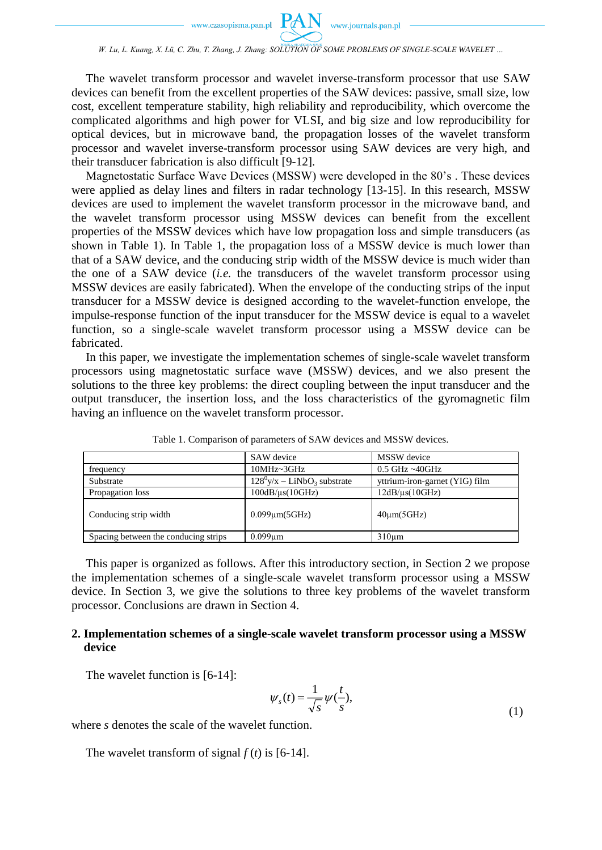*W. Lu, L. Kuang, X. Lü, C. Zhu, T. Zhang, J. Zhang: SOLUTION OF SOME PROBLEMS OF SINGLE-SCALE WAVELET …*

The wavelet transform processor and wavelet inverse-transform processor that use SAW devices can benefit from the excellent properties of the SAW devices: passive, small size, low cost, excellent temperature stability, high reliability and reproducibility, which overcome the complicated algorithms and high power for VLSI, and big size and low reproducibility for optical devices, but in microwave band, the propagation losses of the wavelet transform processor and wavelet inverse-transform processor using SAW devices are very high, and their transducer fabrication is also difficult [9-12].

Magnetostatic Surface Wave Devices (MSSW) were developed in the 80's . These devices were applied as delay lines and filters in radar technology [13-15]. In this research, MSSW devices are used to implement the wavelet transform processor in the microwave band, and the wavelet transform processor using MSSW devices can benefit from the excellent properties of the MSSW devices which have low propagation loss and simple transducers (as shown in Table 1). In Table 1, the propagation loss of a MSSW device is much lower than that of a SAW device, and the conducing strip width of the MSSW device is much wider than the one of a SAW device (*i.e.* the transducers of the wavelet transform processor using MSSW devices are easily fabricated). When the envelope of the conducting strips of the input transducer for a MSSW device is designed according to the wavelet-function envelope, the impulse-response function of the input transducer for the MSSW device is equal to a wavelet function, so a single-scale wavelet transform processor using a MSSW device can be fabricated.

In this paper, we investigate the implementation schemes of single-scale wavelet transform processors using magnetostatic surface wave (MSSW) devices, and we also present the solutions to the three key problems: the direct coupling between the input transducer and the output transducer, the insertion loss, and the loss characteristics of the gyromagnetic film having an influence on the wavelet transform processor.

|                                      | SAW device                                 | MSSW device                    |  |  |  |
|--------------------------------------|--------------------------------------------|--------------------------------|--|--|--|
| frequency                            | $10MHz \sim 3GHz$                          | $0.5$ GHz ~40GHz               |  |  |  |
| Substrate                            | $128^0$ y/x – LiNbO <sub>3</sub> substrate | yttrium-iron-garnet (YIG) film |  |  |  |
| Propagation loss                     | $100dB/\mu s(10GHz)$                       | $12dB/\mu s(10GHz)$            |  |  |  |
| Conducing strip width                | $0.099$ um $(5GHz)$                        | $40 \mu m (5 GHz)$             |  |  |  |
| Spacing between the conducing strips | $0.099$ um                                 | $310 \mu m$                    |  |  |  |

Table 1. Comparison of parameters of SAW devices and MSSW devices.

This paper is organized as follows. After this introductory section, in Section 2 we propose the implementation schemes of a single-scale wavelet transform processor using a MSSW device. In Section 3, we give the solutions to three key problems of the wavelet transform processor. Conclusions are drawn in Section 4.

## **2. Implementation schemes of a single-scale wavelet transform processor using a MSSW device**

The wavelet function is [6-14]:

$$
\psi_s(t) = \frac{1}{\sqrt{s}} \psi(\frac{t}{s}),\tag{1}
$$

where *s* denotes the scale of the wavelet function.

The wavelet transform of signal  $f(t)$  is [6-14].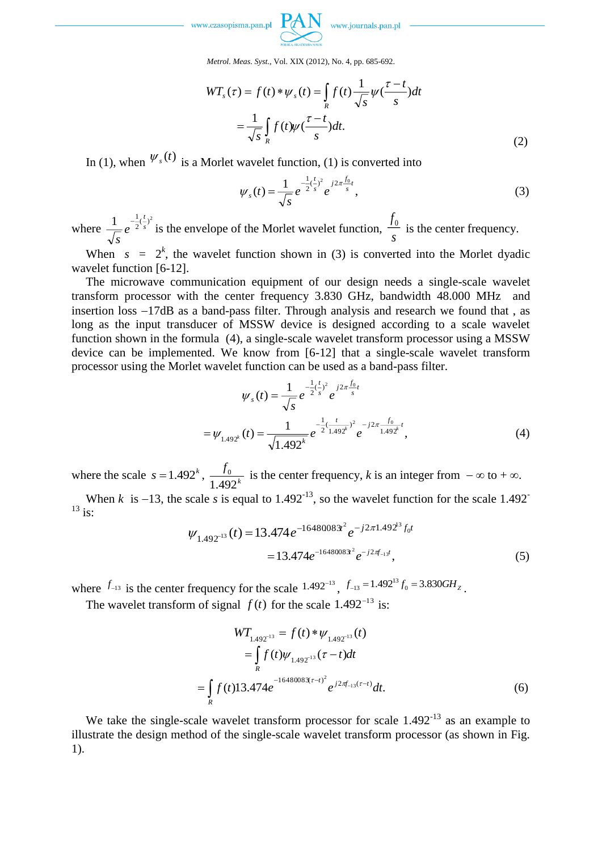

*Metrol. Meas. Syst.*, Vol. XIX (2012), No. 4, pp. 685-692.

$$
WT_s(\tau) = f(t) * \psi_s(t) = \int_R f(t) \frac{1}{\sqrt{s}} \psi(\frac{\tau - t}{s}) dt
$$

$$
= \frac{1}{\sqrt{s}} \int_R f(t) \psi(\frac{\tau - t}{s}) dt.
$$
(2)

In (1), when  $\mathcal{V}_s(t)$  is a Morlet wavelet function, (1) is converted into

$$
\psi_s(t) = \frac{1}{\sqrt{s}} e^{-\frac{1}{2}(\frac{t}{s})^2} e^{j2\pi \frac{f_0}{s}t}, \qquad (3)
$$

where  $\frac{1}{\sqrt{2}}e^{-\frac{1}{2}(\frac{r}{s})^2}$  $\frac{1}{e^{-\frac{1}{2}(\frac{t}{s})}}$ *t e s*  $\frac{1}{2}(\frac{1}{s})^2$  is the envelope of the Morlet wavelet function,  $\frac{f_1}{s}$  $\frac{f_0}{f}$  is the center frequency.

When  $s = 2<sup>k</sup>$ , the wavelet function shown in (3) is converted into the Morlet dyadic wavelet function [6-12].

The microwave communication equipment of our design needs a single-scale wavelet transform processor with the center frequency 3.830 GHz, bandwidth 48.000 MHz and insertion loss  $-17dB$  as a band-pass filter. Through analysis and research we found that, as long as the input transducer of MSSW device is designed according to a scale wavelet function shown in the formula (4), a single-scale wavelet transform processor using a MSSW device can be implemented. We know from [6-12] that a single-scale wavelet transform processor using the Morlet wavelet function can be used as a band-pass filter.

$$
\psi_{s}(t) = \frac{1}{\sqrt{s}} e^{-\frac{1}{2}(\frac{t}{s})^{2}} e^{-j2\pi \frac{f_{0}}{s}t}
$$

$$
= \psi_{1.492^{k}}(t) = \frac{1}{\sqrt{1.492^{k}}} e^{-\frac{1}{2}(\frac{t}{1.492^{k}})^{2}} e^{-j2\pi \frac{f_{0}}{1.492^{k}}}t,
$$
(4)

where the scale  $s = 1.492^k$ ,  $\frac{J_0}{1.402^k}$ *f* 1.492  $\frac{0}{\sqrt{1-x^2}}$  is the center frequency, *k* is an integer from  $-\infty$  to  $+\infty$ .

When *k* is  $-13$ , the scale *s* is equal to 1.492<sup>-13</sup>, so the wavelet function for the scale 1.492<sup>-13</sup>  $^{13}$  is:

$$
\psi_{1.492^{-13}}(t) = 13.474 e^{-16480083t^2} e^{-j2\pi 1.492^{13} f_0 t}
$$

$$
= 13.474 e^{-16480083t^2} e^{-j2\pi f_{-1}t}, \tag{5}
$$

where  $f_{-13}$  is the center frequency for the scale  $1.492^{-13}$ ,  $f_{-13} = 1.492^{13} f_0 = 3.830 \text{GHz}$ .

The wavelet transform of signal  $f(t)$  for the scale 1.492<sup>-13</sup> is:

$$
WT_{1.492^{-13}} = f(t) * \psi_{1.492^{-13}}(t)
$$
  
=  $\int_{R} f(t) \psi_{1.492^{-13}}(\tau - t) dt$   
=  $\int_{R} f(t) 13.474 e^{-1648008 \mathcal{K}(\tau - t)^{2}} e^{j2\pi f_{-13}(\tau - t)} dt.$  (6)

We take the single-scale wavelet transform processor for scale  $1.492<sup>-13</sup>$  as an example to illustrate the design method of the single-scale wavelet transform processor (as shown in Fig. 1).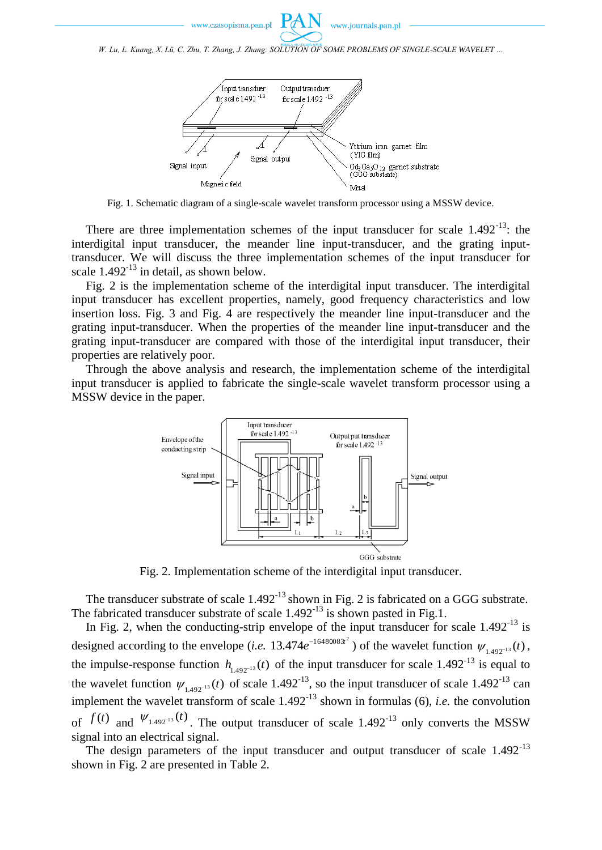

*W. Lu, L. Kuang, X. Lü, C. Zhu, T. Zhang, J. Zhang: SOLUTION OF SOME PROBLEMS OF SINGLE-SCALE WAVELET …*



Fig. 1. Schematic diagram of a single-scale wavelet transform processor using a MSSW device.

There are three implementation schemes of the input transducer for scale  $1.492<sup>-13</sup>$ : the interdigital input transducer, the meander line input-transducer, and the grating inputtransducer. We will discuss the three implementation schemes of the input transducer for scale  $1.492<sup>-13</sup>$  in detail, as shown below.

Fig. 2 is the implementation scheme of the interdigital input transducer. The interdigital input transducer has excellent properties, namely, good frequency characteristics and low insertion loss. Fig. 3 and Fig. 4 are respectively the meander line input-transducer and the grating input-transducer. When the properties of the meander line input-transducer and the grating input-transducer are compared with those of the interdigital input transducer, their properties are relatively poor.

Through the above analysis and research, the implementation scheme of the interdigital input transducer is applied to fabricate the single-scale wavelet transform processor using a MSSW device in the paper.



Fig. 2. Implementation scheme of the interdigital input transducer.

The transducer substrate of scale  $1.492<sup>-13</sup>$  shown in Fig. 2 is fabricated on a GGG substrate. The fabricated transducer substrate of scale  $1.492<sup>-13</sup>$  is shown pasted in Fig.1.

In Fig. 2, when the conducting-strip envelope of the input transducer for scale  $1.492<sup>-13</sup>$  is designed according to the envelope (*i.e.* 13.474 $e^{-16480083t^2}$ ) of the wavelet function  $\psi_{1.492^{-13}}(t)$ , the impulse-response function  $h_{1.492^{-13}}(t)$  of the input transducer for scale  $1.492^{-13}$  is equal to the wavelet function  $\psi_{1.492^{-13}}(t)$  of scale 1.492<sup>-13</sup>, so the input transducer of scale 1.492<sup>-13</sup> can implement the wavelet transform of scale 1.492-13 shown in formulas (6), *i.e.* the convolution of  $f(t)$  and  $\Psi_{1.492^{-13}}(t)$ . The output transducer of scale 1.492<sup>-13</sup> only converts the MSSW signal into an electrical signal.

The design parameters of the input transducer and output transducer of scale  $1.492<sup>-13</sup>$ shown in Fig. 2 are presented in Table 2.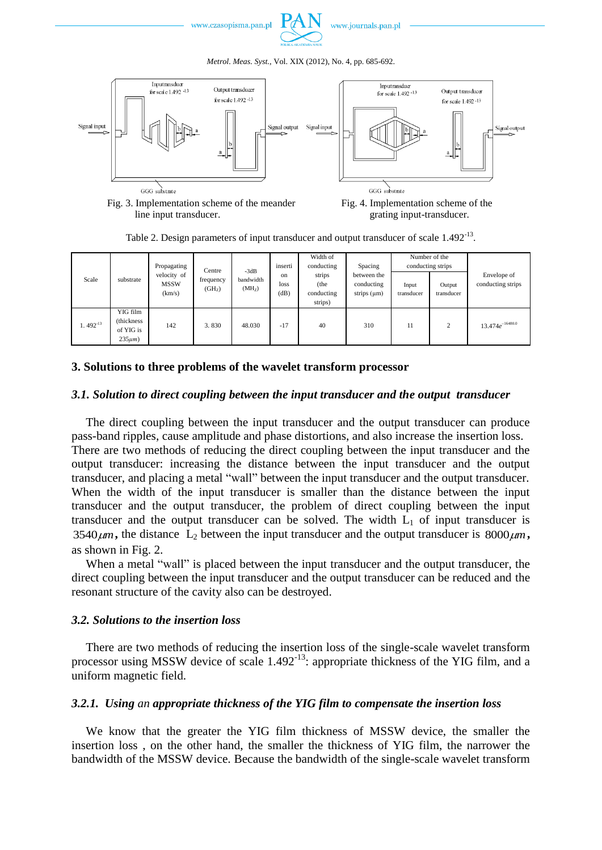





Fig. 3. Implementation scheme of the meander Fig. 4. Implementation scheme of the line input transducer. grating input-transducer.

Table 2. Design parameters of input transducer and output transducer of scale 1.492<sup>-13</sup>.

| Scale        | substrate                                            | Propagating<br>velocity of<br><b>MSSW</b><br>(km/s) | Centre                          | $-3dB$<br>bandwidth<br>(MH <sub>z</sub> ) | inserti<br>on<br>loss<br>(dB) | Width of<br>conducting                  | Spacing<br>between the<br>conducting<br>strips $(\mu m)$ | Number of the<br>conducting strips |                      |                                  |
|--------------|------------------------------------------------------|-----------------------------------------------------|---------------------------------|-------------------------------------------|-------------------------------|-----------------------------------------|----------------------------------------------------------|------------------------------------|----------------------|----------------------------------|
|              |                                                      |                                                     | frequency<br>(GH <sub>z</sub> ) |                                           |                               | strips<br>(the<br>conducting<br>strips) |                                                          | Input<br>transducer                | Output<br>transducer | Envelope of<br>conducting strips |
| $1.492^{13}$ | YIG film<br>(thickness)<br>of YIG is<br>$235\mu m$ ) | 142                                                 | 3.830                           | 48.030                                    | $-17$                         | 40                                      | 310                                                      | 11                                 | 2                    | $13.474e^{-16480.0}$             |

### **3. Solutions to three problems of the wavelet transform processor**

## *3.1. Solution to direct coupling between the input transducer and the output transducer*

The direct coupling between the input transducer and the output transducer can produce pass-band ripples, cause amplitude and phase distortions, and also increase the insertion loss. There are two methods of reducing the direct coupling between the input transducer and the output transducer: increasing the distance between the input transducer and the output transducer, and placing a metal "wall" between the input transducer and the output transducer. When the width of the input transducer is smaller than the distance between the input transducer and the output transducer, the problem of direct coupling between the input transducer and the output transducer can be solved. The width  $L_1$  of input transducer is 3540 $\mu$ m, the distance L<sub>2</sub> between the input transducer and the output transducer is 8000 $\mu$ m, as shown in Fig. 2.

When a metal "wall" is placed between the input transducer and the output transducer, the direct coupling between the input transducer and the output transducer can be reduced and the resonant structure of the cavity also can be destroyed.

## *3.2. Solutions to the insertion loss*

There are two methods of reducing the insertion loss of the single-scale wavelet transform processor using MSSW device of scale 1.492<sup>-13</sup>: appropriate thickness of the YIG film, and a uniform magnetic field.

# *3.2.1. Using an appropriate thickness of the YIG film to compensate the insertion loss*

We know that the greater the YIG film thickness of MSSW device, the smaller the insertion loss , on the other hand, the smaller the thickness of YIG film, the narrower the bandwidth of the MSSW device. Because the bandwidth of the single-scale wavelet transform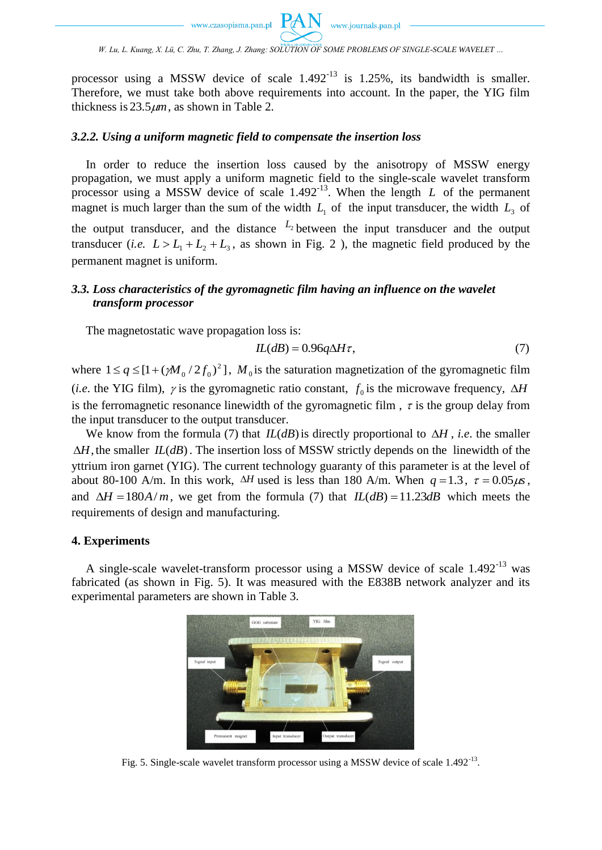processor using a MSSW device of scale  $1.492<sup>-13</sup>$  is 1.25%, its bandwidth is smaller. Therefore, we must take both above requirements into account. In the paper, the YIG film thickness is  $23.5 \mu m$ , as shown in Table 2.

### *3.2.2. Using a uniform magnetic field to compensate the insertion loss*

In order to reduce the insertion loss caused by the anisotropy of MSSW energy propagation, we must apply a uniform magnetic field to the single-scale wavelet transform processor using a MSSW device of scale  $1.492<sup>-13</sup>$ . When the length L of the permanent magnet is much larger than the sum of the width  $L_1$  of the input transducer, the width  $L_3$  of the output transducer, and the distance  $L_2$  between the input transducer and the output transducer (*i.e.*  $L > L_1 + L_2 + L_3$ , as shown in Fig. 2), the magnetic field produced by the permanent magnet is uniform.

# *3.3. Loss characteristics of the gyromagnetic film having an influence on the wavelet transform processor*

The magnetostatic wave propagation loss is:

$$
IL(dB) = 0.96q\Delta H\tau,\tag{7}
$$

where  $1 \le q \le [1 + (\gamma M_0 / 2f_0)^2]$ ,  $M_0$  is the saturation magnetization of the gyromagnetic film (*i.e.* the YIG film),  $\gamma$  is the gyromagnetic ratio constant,  $f_0$  is the microwave frequency,  $\Delta H$ is the ferromagnetic resonance linewidth of the gyromagnetic film,  $\tau$  is the group delay from the input transducer to the output transducer.

We know from the formula (7) that  $IL(dB)$  is directly proportional to  $\Delta H$ , *i.e.* the smaller  $\Delta H$ , the smaller  $IL(dB)$ . The insertion loss of MSSW strictly depends on the linewidth of the yttrium iron garnet (YIG). The current technology guaranty of this parameter is at the level of about 80-100 A/m. In this work,  $\Delta H$  used is less than 180 A/m. When  $q = 1.3$ ,  $\tau = 0.05 \mu s$ , and  $\Delta H = 180A/m$ , we get from the formula (7) that  $IL(dB) = 11.23dB$  which meets the requirements of design and manufacturing.

### **4. Experiments**

A single-scale wavelet-transform processor using a MSSW device of scale 1.492-13 was fabricated (as shown in Fig. 5). It was measured with the E838B network analyzer and its experimental parameters are shown in Table 3.



Fig. 5. Single-scale wavelet transform processor using a MSSW device of scale 1.492<sup>-13</sup>.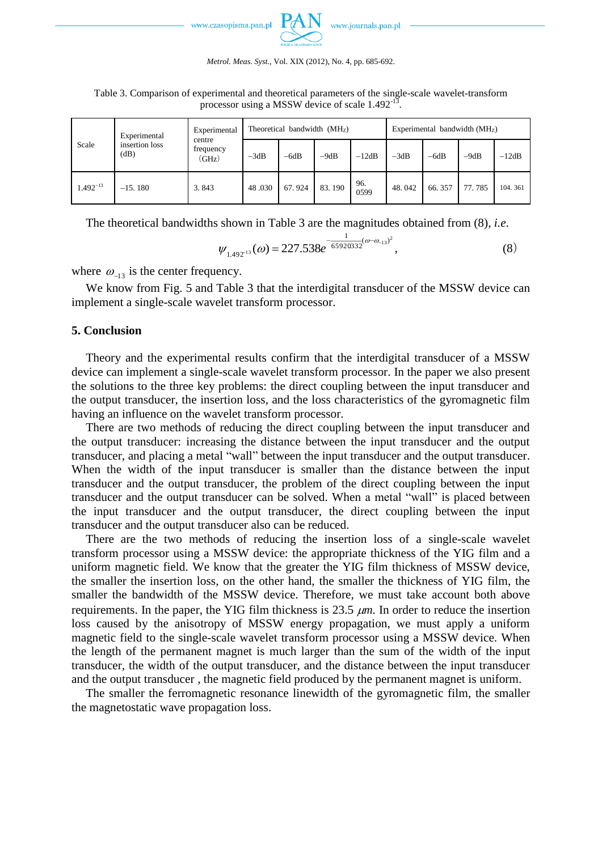*Metrol. Meas. Syst.*, Vol. XIX (2012), No. 4, pp. 685-692.

Table 3. Comparison of experimental and theoretical parameters of the single-scale wavelet-transform processor using a MSSW device of scale 1.492<sup>-13</sup>.

| Scale<br>(dB) | Experimental   | Experimental<br>centre<br>frequency<br>(GHz) | Theoretical bandwidth $(MHz)$ |        |        |             | Experimental bandwidth $(MHz)$ |        |        |         |
|---------------|----------------|----------------------------------------------|-------------------------------|--------|--------|-------------|--------------------------------|--------|--------|---------|
|               | insertion loss |                                              | $-3dB$                        | $-6dB$ | $-9dB$ | $-12dB$     | $-3dB$                         | $-6dB$ | $-9dB$ | $-12dB$ |
| $1.492^{-13}$ | $-15.180$      | 3.843                                        | 48.030                        | 67.924 | 83.190 | 96.<br>0599 | 48.042                         | 66.357 | 77.785 | 104.361 |

The theoretical bandwidths shown in Table 3 are the magnitudes obtained from (8), *i.e*.

$$
\psi_{1.492^{13}}(\omega) = 227.538e^{-\frac{1}{65920332}(\omega - \omega_{-13})^2},\tag{8}
$$

where  $\omega_{-13}$  is the center frequency.

We know from Fig. 5 and Table 3 that the interdigital transducer of the MSSW device can implement a single-scale wavelet transform processor.

### **5. Conclusion**

Theory and the experimental results confirm that the interdigital transducer of a MSSW device can implement a single-scale wavelet transform processor. In the paper we also present the solutions to the three key problems: the direct coupling between the input transducer and the output transducer, the insertion loss, and the loss characteristics of the gyromagnetic film having an influence on the wavelet transform processor.

There are two methods of reducing the direct coupling between the input transducer and the output transducer: increasing the distance between the input transducer and the output transducer, and placing a metal "wall" between the input transducer and the output transducer. When the width of the input transducer is smaller than the distance between the input transducer and the output transducer, the problem of the direct coupling between the input transducer and the output transducer can be solved. When a metal "wall" is placed between the input transducer and the output transducer, the direct coupling between the input transducer and the output transducer also can be reduced.

There are the two methods of reducing the insertion loss of a single-scale wavelet transform processor using a MSSW device: the appropriate thickness of the YIG film and a uniform magnetic field. We know that the greater the YIG film thickness of MSSW device, the smaller the insertion loss, on the other hand, the smaller the thickness of YIG film, the smaller the bandwidth of the MSSW device. Therefore, we must take account both above requirements. In the paper, the YIG film thickness is  $23.5 \mu m$ . In order to reduce the insertion loss caused by the anisotropy of MSSW energy propagation, we must apply a uniform magnetic field to the single-scale wavelet transform processor using a MSSW device. When the length of the permanent magnet is much larger than the sum of the width of the input transducer, the width of the output transducer, and the distance between the input transducer and the output transducer , the magnetic field produced by the permanent magnet is uniform.

The smaller the ferromagnetic resonance linewidth of the gyromagnetic film, the smaller the magnetostatic wave propagation loss.